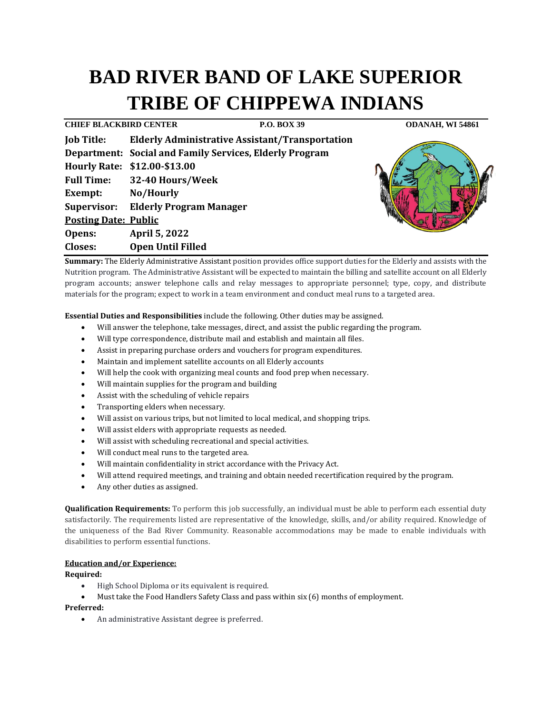# **BAD RIVER BAND OF LAKE SUPERIOR TRIBE OF CHIPPEWA INDIANS**

**CHIEF BLACKBIRD CENTER P.O. BOX 39 ODANAH, WI 54861 Job Title: Elderly Administrative Assistant/Transportation Department: Social and Family Services, Elderly Program Hourly Rate: \$12.00-\$13.00 Full Time: 32-40 Hours/Week Exempt: No/Hourly Supervisor: Elderly Program Manager Posting Date: Public Opens: April 5, 2022 Closes: Open Until Filled**

**Summary:** The Elderly Administrative Assistant position provides office support duties for the Elderly and assists with the Nutrition program. The Administrative Assistant will be expected to maintain the billing and satellite account on all Elderly program accounts; answer telephone calls and relay messages to appropriate personnel; type, copy, and distribute materials for the program; expect to work in a team environment and conduct meal runs to a targeted area.

**Essential Duties and Responsibilities** include the following. Other duties may be assigned.

- Will answer the telephone, take messages, direct, and assist the public regarding the program.
- Will type correspondence, distribute mail and establish and maintain all files.
- Assist in preparing purchase orders and vouchers for program expenditures.
- Maintain and implement satellite accounts on all Elderly accounts
- Will help the cook with organizing meal counts and food prep when necessary.
- Will maintain supplies for the program and building
- Assist with the scheduling of vehicle repairs
- Transporting elders when necessary.
- Will assist on various trips, but not limited to local medical, and shopping trips.
- Will assist elders with appropriate requests as needed.
- Will assist with scheduling recreational and special activities.
- Will conduct meal runs to the targeted area.
- Will maintain confidentiality in strict accordance with the Privacy Act.
- Will attend required meetings, and training and obtain needed recertification required by the program.
- Any other duties as assigned.

**Qualification Requirements:** To perform this job successfully, an individual must be able to perform each essential duty satisfactorily. The requirements listed are representative of the knowledge, skills, and/or ability required. Knowledge of the uniqueness of the Bad River Community. Reasonable accommodations may be made to enable individuals with disabilities to perform essential functions.

# **Education and/or Experience:**

**Required:**

- High School Diploma or its equivalent is required.
- Must take the Food Handlers Safety Class and pass within six (6) months of employment.

# **Preferred:**

• An administrative Assistant degree is preferred.